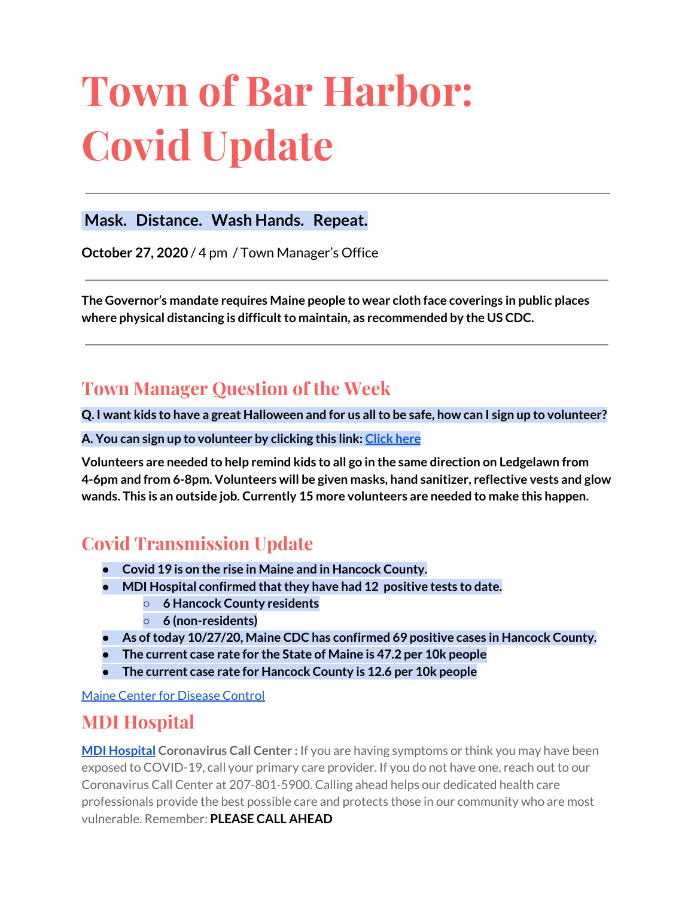# **Town of Bar Harbor: Covid Update**

#### **Mask. Distance. Wash Hands. Repeat.**

**October 27, 2020** / 4 pm / Town Manager's Office

**The Governor's mandate requires Maine people to wear cloth face coverings in public places where physical distancing is difficultto maintain, as recommended by the US CDC.**

# **Town Manager Question of the Week**

Q. I want kids to have a great Halloween and for us all to be safe, how can I sign up to volunteer?

**A. You can sign up to volunteer by clicking this link: [Click](https://forms.gle/BXtZUM59yrAWhhBw5) here**

**Volunteers are needed to help remind kids to all go in the same direction on Ledgelawn from 4-6pm and from 6-8pm. Volunteers will be given masks, hand sanitizer, reflective vests and glow wands. This is an outside job. Currently 15 more volunteers are needed to make this happen.**

# **Covid Transmission Update**

- **● Covid 19 is on the rise in Maine and in Hancock County.**
- **● MDI Hospital confirmed thatthey have had 12 positive tests to date.**
	- **○ 6 Hancock County residents**
	- **○ 6 (non-residents)**
- **● As oftoday 10/27/20, Maine CDC has confirmed 69 positive cases in Hancock County.**
- **● The current case rate for the State of Maine is 47.2 per 10k people**
- **● The current case rate for Hancock County is 12.6 per 10k people**

Maine Center for [Disease](https://www.maine.gov/dhhs/mecdc/infectious-disease/epi/airborne/coronavirus.shtml) Control

## **MDI Hospital**

**MDI [Hospital](https://www.mdihospital.org/) Coronavirus Call Center :** If you are having symptoms or think you may have been exposed to COVID-19, call your primary care provider. If you do not have one, reach out to our Coronavirus Call Center at 207-801-5900. Calling ahead helps our dedicated health care professionals provide the best possible care and protects those in our community who are most vulnerable. Remember: **PLEASE CALL AHEAD**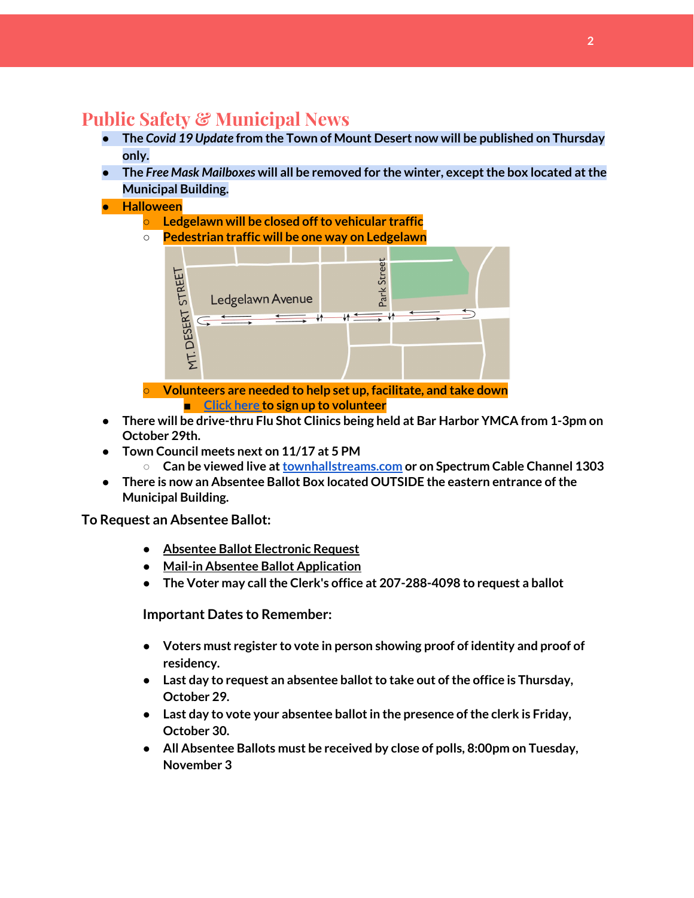# **Public Safety & Municipal News**

- **● The** *Covid 19 Update* **from the Town of Mount Desert now will be published on Thursday only.**
- **● The** *Free Mask Mailboxes* **will all be removed for the winter, exceptthe box located atthe Municipal Building.**
- **● Halloween**
	- **○ Ledgelawn will be closed offto vehicular traffic**
	- **○ Pedestrian traffic will be one way on Ledgelawn**



**■ [Click](https://forms.gle/BXtZUM59yrAWhhBw5) here to sign up to volunteer**

- **● There will be drive-thru Flu Shot Clinics being held at Bar Harbor YMCA from 1-3pm on October 29th.**
- **Town Council meets next on 11/17 at 5 PM**
	- **Can be viewed live at[townhallstreams.com](https://townhallstreams.com/) or on Spectrum Cable Channel 1303**
- **● There is now an Absentee Ballot Box located OUTSIDE the eastern entrance ofthe Municipal Building.**

**To Request an Absentee Ballot:**

- **● Absentee Ballot [Electronic](https://apps.web.maine.gov/cgi-bin/online/AbsenteeBallot/index.pl) Request**
- **● Mail-in Absentee Ballot [Application](https://www.barharbormaine.gov/DocumentCenter/View/4362/2020-11-Absentee-Ballot-Application)**
- **● The Voter may callthe Clerk's office at 207-288-4098 to request a ballot**

**Important Dates to Remember:**

- **● Voters must register to vote in person showing proof of identity and proof of residency.**
- **•** Last day to request an absentee ballot to take out of the office is Thursday, **October 29.**
- **● Last day to vote your absentee ballotin the presence ofthe clerk is Friday, October 30.**
- **● All Absentee Ballots must be received by close of polls, 8:00pm on Tuesday, November 3**